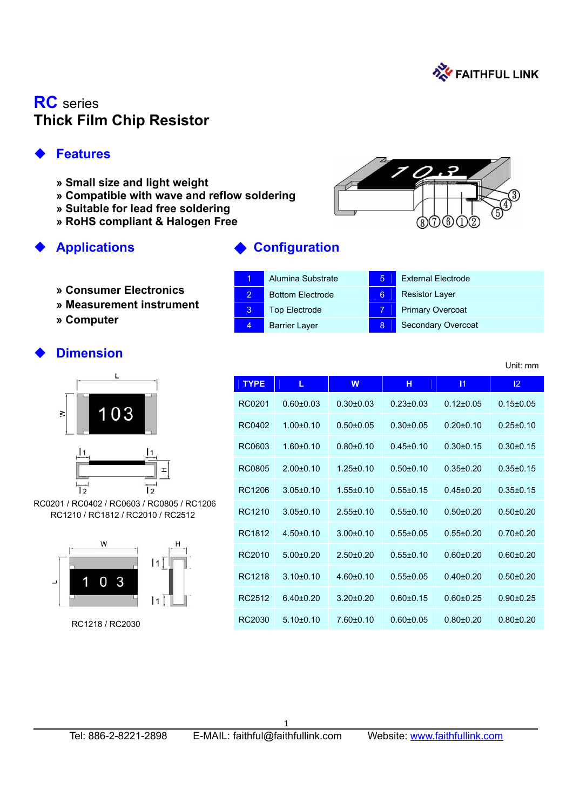

# **RC** series **Thick Film Chip Resistor**

## **Features**

- **» Small size and light weight**
- **» Compatible with wave and reflow soldering**
- **» Suitable for lead free soldering**
- **» RoHS compliant & Halogen Free**

#### **Applications** ◆ **Configuration**

- **» Consumer Electronics**
- **» Measurement instrument**
- **» Computer**

|   | Alumina Substrate       | 5 | <b>External Electrode</b> |
|---|-------------------------|---|---------------------------|
| 2 | <b>Bottom Electrode</b> | 6 | <b>Resistor Layer</b>     |
| 3 | <b>Top Electrode</b>    |   | <b>Primary Overcoat</b>   |
|   | <b>Barrier Layer</b>    | 8 | <b>Secondary Overcoat</b> |

## **Dimension**



RC0201 / RC0402 / RC0603 / RC0805 / RC1206 RC1210 / RC1812 / RC2010 / RC2512



RC1218 / RC2030

| <b>TYPE</b> | L             | W               | н               | $\mathsf{I}$  | 12 <sup>2</sup> |
|-------------|---------------|-----------------|-----------------|---------------|-----------------|
| RC0201      | $0.60 + 0.03$ | $0.30 + 0.03$   | $0.23 \pm 0.03$ | $0.12 + 0.05$ | $0.15 + 0.05$   |
| RC0402      | $1.00 + 0.10$ | $0.50 + 0.05$   | $0.30 + 0.05$   | $0.20 + 0.10$ | $0.25 + 0.10$   |
| RC0603      | $1.60 + 0.10$ | $0.80 + 0.10$   | $0.45 + 0.10$   | $0.30 + 0.15$ | $0.30 + 0.15$   |
| RC0805      | $2.00+0.10$   | $1.25 + 0.10$   | $0.50 + 0.10$   | $0.35 + 0.20$ | $0.35 + 0.15$   |
| RC1206      | $3.05 + 0.10$ | $1.55 + 0.10$   | $0.55 + 0.15$   | $0.45 + 0.20$ | $0.35 + 0.15$   |
| RC1210      | $3.05 + 0.10$ | $2.55 \pm 0.10$ | $0.55 \pm 0.10$ | $0.50 + 0.20$ | $0.50 + 0.20$   |
| RC1812      | $4.50+0.10$   | $3.00+0.10$     | $0.55 + 0.05$   | $0.55 + 0.20$ | $0.70 + 0.20$   |
| RC2010      | $5.00+0.20$   | $2.50+0.20$     | $0.55 + 0.10$   | $0.60 + 0.20$ | $0.60 + 0.20$   |
| RC1218      | $3,10+0,10$   | $4.60 + 0.10$   | $0.55 + 0.05$   | $0.40 + 0.20$ | $0.50 + 0.20$   |
| RC2512      | $6.40 + 0.20$ | $3.20 + 0.20$   | $0.60 + 0.15$   | $0.60 + 0.25$ | $0.90 + 0.25$   |
| RC2030      | $5.10+0.10$   | $7.60 + 0.10$   | $0.60 \pm 0.05$ | $0.80 + 0.20$ | $0.80 + 0.20$   |

 $\overline{a}$ 

Unit: mm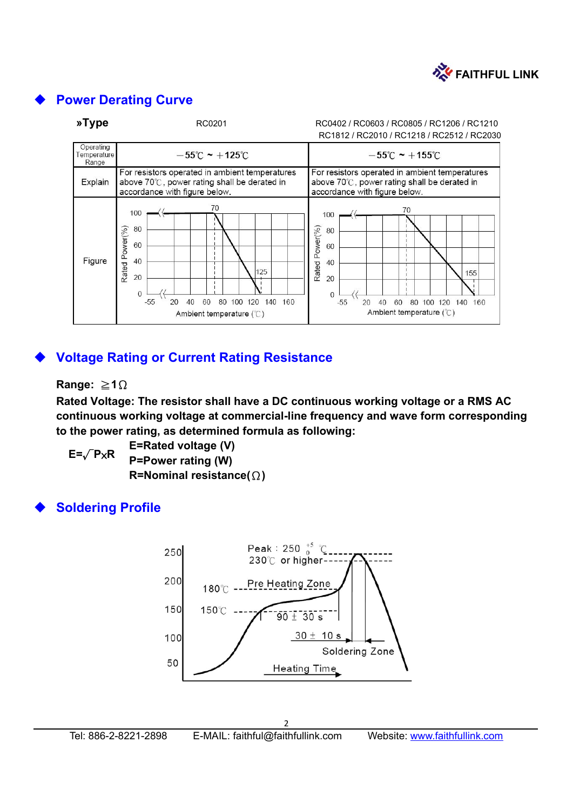

#### **Power Derating Curve**



## **Voltage Rating or Current Rating Resistance**

#### **Range:** ≧**1**Ω

**Rated Voltage: The resistor shall have a DC continuous working voltage or a RMS AC continuous working voltage at commercial-line frequency and wave form corresponding to the power rating, as determined formula as following:** 

**E=Rated voltage (V) P=Power rating (W) R=Nominal resistance(**Ω**) E=**√**P**×**R** 

#### **Soldering Profile**

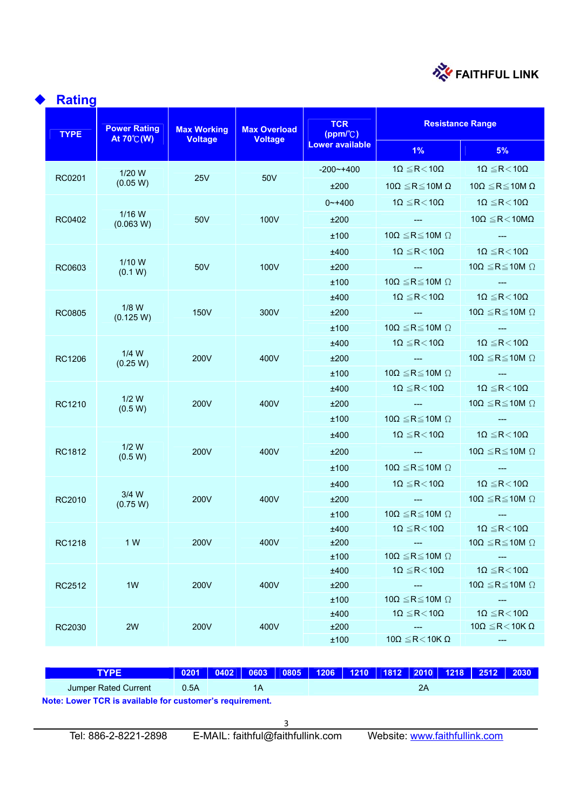

| <b>Rating</b> |                                            |                                      |                                       |                                                  |                                                         |                                                                |  |  |
|---------------|--------------------------------------------|--------------------------------------|---------------------------------------|--------------------------------------------------|---------------------------------------------------------|----------------------------------------------------------------|--|--|
| <b>TYPE</b>   | <b>Power Rating</b><br>At $70^{\circ}$ (W) | <b>Max Working</b><br><b>Voltage</b> | <b>Max Overload</b><br><b>Voltage</b> | <b>TCR</b><br>$(ppm/$ <sup><math>c)</math></sup> | <b>Resistance Range</b>                                 |                                                                |  |  |
|               |                                            |                                      |                                       | <b>Lower available</b>                           | $1\%$                                                   | 5%                                                             |  |  |
|               | $1/20$ W                                   |                                      |                                       | $-200$ $-+400$                                   | $1\Omega \le R < 10\Omega$                              | $1\Omega \le R < 10\Omega$                                     |  |  |
| RC0201        | (0.05 W)                                   | 25V                                  | 50 <sub>V</sub>                       | ±200                                             | 10Ω $\leq$ R $\leq$ 10M Ω                               | 10 $\Omega \le R \le 10M \Omega$                               |  |  |
|               |                                            |                                      |                                       | $0$ ~+400                                        | 1 $\Omega \leq$ R $<$ 10 $\Omega$                       | 1 $\Omega \leq R$ <10 $\Omega$                                 |  |  |
| RC0402        | $1/16$ W<br>(0.063 W)                      | 50V                                  | 100V                                  | ±200                                             | <b>Allen Contract</b>                                   | 10 $\Omega \leq R < 10M\Omega$                                 |  |  |
|               |                                            |                                      |                                       | ±100                                             | 10 $\Omega \le R \le 10M \Omega$                        |                                                                |  |  |
|               |                                            |                                      |                                       | ±400                                             | 1 $\Omega \leq R < 10\Omega$                            | $1\Omega \leq R < 10\Omega$                                    |  |  |
| RC0603        | $1/10$ W<br>(0.1 W)                        | 50V                                  | 100V                                  | ±200                                             | <b>See Contract Contract</b>                            | 10 $\Omega \le R \le 10M$ $\Omega$                             |  |  |
|               |                                            |                                      |                                       | ±100                                             | $10\Omega \le R \le 10M \Omega$                         | $\frac{1}{2}$                                                  |  |  |
|               |                                            |                                      |                                       | ±400                                             | 1 $\Omega \leq R < 10\Omega$                            | $1\Omega \leq R < 10\Omega$                                    |  |  |
| <b>RC0805</b> | $1/8$ W<br>(0.125 W)                       | 150V                                 | 300V                                  | ±200                                             | <b>See Program</b>                                      | $10\Omega \leq R \leq 10M$ $\Omega$                            |  |  |
|               |                                            |                                      |                                       | ±100                                             | $10\Omega \le R \le 10M \Omega$                         | <b>Service</b>                                                 |  |  |
|               |                                            |                                      |                                       | ±400                                             | 1 $\Omega \leq R < 10\Omega$                            | $1\Omega \le R < 10\Omega$                                     |  |  |
| RC1206        | $1/4$ W<br>(0.25 W)                        | 200V                                 | 400V                                  | ±200                                             | <u> The Communication of the Communication of</u>       | $10\Omega \le R \le 10M \Omega$                                |  |  |
|               |                                            |                                      |                                       | ±100                                             | 10 $\Omega \le R \le 10M \Omega$                        | <b>Service</b>                                                 |  |  |
|               |                                            |                                      |                                       | ±400                                             | 1 $\Omega \leq R < 10\Omega$                            | $1\Omega \le R < 10\Omega$                                     |  |  |
| RC1210        | $1/2$ W<br>(0.5 W)                         | 200V                                 | 400V                                  | ±200                                             | and the state of the state                              | 10 $\Omega \le R \le 10M$ $\Omega$                             |  |  |
|               |                                            |                                      |                                       | ±100                                             | 10 $\Omega \le R \le 10M \Omega$                        | $\sim 100$ mass $^{-1}$                                        |  |  |
|               |                                            |                                      |                                       | ±400                                             | 1 $\Omega \leq R < 10\Omega$                            | $1\Omega \le R < 10\Omega$                                     |  |  |
| RC1812        | $1/2$ W<br>(0.5 W)                         | 200V                                 | 400V                                  | ±200                                             |                                                         | 10 $\Omega \le R \le 10M$ $\Omega$                             |  |  |
|               |                                            |                                      |                                       | ±100                                             | $10\Omega \le R \le 10M \Omega$                         | $\hspace{0.1em} \ldots \hspace{0.1em}$                         |  |  |
|               |                                            |                                      |                                       | ±400                                             | 1 $\Omega \leq$ R $<$ 10 $\Omega$                       | 1 $\Omega \leq R < 10\Omega$                                   |  |  |
| RC2010        | $3/4$ W<br>(0.75 W)                        | 200V                                 | 400V                                  | ±200                                             |                                                         | $10\Omega \leq R \leq 10M$ $\Omega$                            |  |  |
|               |                                            |                                      |                                       | ±100                                             | 10 $\Omega \le R \le 10M$ $\Omega$                      |                                                                |  |  |
|               |                                            |                                      |                                       | ±400                                             | $1\Omega \leq \! R \! < \! 10\Omega$                    | $1\Omega \leq R \! < \! 10\Omega$                              |  |  |
| RC1218        | 1 W                                        | 200V                                 | 400V                                  | ±200                                             | $\sim$                                                  | 10 $\Omega \le R \le 10M \Omega$                               |  |  |
|               |                                            |                                      |                                       | ±100                                             | 10 $\Omega \le R \le 10M \Omega$                        | ---                                                            |  |  |
|               |                                            |                                      |                                       | ±400                                             | $1\Omega \leq R < 10\Omega$                             | $1\Omega \leqq \! R \! < \! 10\Omega$                          |  |  |
| RC2512        | 1W                                         |                                      | 400V                                  | ±200                                             | $\sim$ $\sim$                                           | 10 $\Omega \le R \le 10M$ $\Omega$                             |  |  |
|               |                                            |                                      |                                       | ±100                                             | $10\Omega \leq R \leq 10M \Omega$                       | $\frac{1}{2}$                                                  |  |  |
| RC2030        | 2W                                         |                                      | 400V                                  | ±400<br>±200                                     | $1\Omega \leq R < 10\Omega$<br>$\hspace{0.05cm} \ldots$ | $1\Omega \leq R < 10\Omega$<br>10 $\Omega \leq R < 10K \Omega$ |  |  |
|               |                                            | 200V<br>200V                         |                                       | ±100                                             | $10\Omega \leq R < 10K \Omega$                          | $\sim$                                                         |  |  |

| <b>TYPE</b>          | 0201    0402    0603    0805    1206    1210    1812    2010    1218    2512    2030 |  |  |  |  |  |  |    |  |  |
|----------------------|--------------------------------------------------------------------------------------|--|--|--|--|--|--|----|--|--|
| Jumper Rated Current | 0.5A                                                                                 |  |  |  |  |  |  | 2Α |  |  |
|                      | Note: Lower TCR is available for customer's requirement.                             |  |  |  |  |  |  |    |  |  |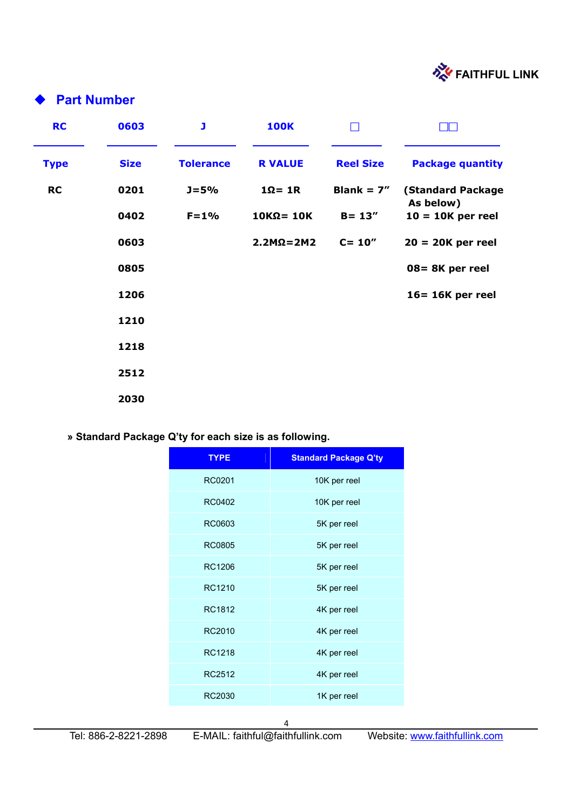

## **Part Number**

| <b>RC</b>   | 0603        | J                | <b>100K</b>        | ▔                |                                       |
|-------------|-------------|------------------|--------------------|------------------|---------------------------------------|
| <b>Type</b> | <b>Size</b> | <b>Tolerance</b> | <b>R VALUE</b>     | <b>Reel Size</b> | <b>Package quantity</b>               |
| <b>RC</b>   | 0201        | $J = 5%$         | $1\Omega = 1R$     | Blank = $7''$    | <b>(Standard Package</b><br>As below) |
|             | 0402        | $F = 1%$         | $10K\Omega = 10K$  | $B = 13''$       | $10 = 10K$ per reel                   |
|             | 0603        |                  | $2.2M\Omega = 2M2$ | $C = 10''$       | $20 = 20K$ per reel                   |
|             | 0805        |                  |                    |                  | 08= 8K per reel                       |
|             | 1206        |                  |                    |                  | 16= 16K per reel                      |
|             | 1210        |                  |                    |                  |                                       |
|             | 1218        |                  |                    |                  |                                       |
|             | 2512        |                  |                    |                  |                                       |
|             | 2030        |                  |                    |                  |                                       |

#### **» Standard Package Q'ty for each size is as following.**

| <b>TYPE</b>   | <b>Standard Package Q'ty</b> |
|---------------|------------------------------|
| RC0201        | 10K per reel                 |
| <b>RC0402</b> | 10K per reel                 |
| RC0603        | 5K per reel                  |
| <b>RC0805</b> | 5K per reel                  |
| RC1206        | 5K per reel                  |
| RC1210        | 5K per reel                  |
| RC1812        | 4K per reel                  |
| RC2010        | 4K per reel                  |
| RC1218        | 4K per reel                  |
| RC2512        | 4K per reel                  |
| RC2030        | 1K per reel                  |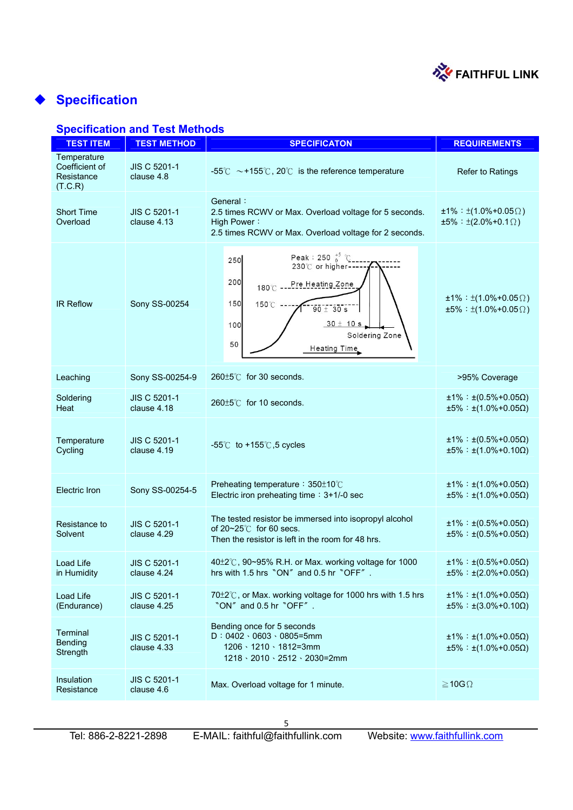

# **Specification**

### **Specification and Test Methods**

| <b>TEST ITEM</b>                                       | <b>TEST METHOD</b>                 | <b>SPECIFICATON</b>                                                                                                                                                                             | <b>REQUIREMENTS</b>                                                            |
|--------------------------------------------------------|------------------------------------|-------------------------------------------------------------------------------------------------------------------------------------------------------------------------------------------------|--------------------------------------------------------------------------------|
| Temperature<br>Coefficient of<br>Resistance<br>(T.C.R) | JIS C 5201-1<br>clause 4.8         | -55℃ ~+155℃, 20℃ is the reference temperature                                                                                                                                                   | <b>Refer to Ratings</b>                                                        |
| <b>Short Time</b><br>Overload                          | <b>JIS C 5201-1</b><br>clause 4.13 | General:<br>2.5 times RCWV or Max. Overload voltage for 5 seconds.<br>High Power:<br>2.5 times RCWV or Max. Overload voltage for 2 seconds.                                                     | $±1\% : ±(1.0\% + 0.05\Omega)$<br>$\pm 5\% : \pm (2.0\% + 0.1\Omega)$          |
| <b>IR Reflow</b>                                       | Sony SS-00254                      | Peak: 250 $^{+5}_{0}$ °C<br>250<br>230°C or higher-<br>200<br>Pre Heating Zone<br>180°C<br>150<br>$150^{\circ}$ C<br>$90 + 30s$<br>$30 \pm 10 s$<br>100<br>Soldering Zone<br>50<br>Heating Time | $\pm 1\%$ : $\pm (1.0\% + 0.05\Omega)$<br>$\pm 5\% : \pm (1.0\% + 0.05\Omega)$ |
| Leaching                                               | Sony SS-00254-9                    | $260 \pm 5^{\circ}$ for 30 seconds.                                                                                                                                                             | >95% Coverage                                                                  |
| Soldering<br>Heat                                      | JIS C 5201-1<br>clause 4.18        | 260±5℃ for 10 seconds.                                                                                                                                                                          | $±1\% : ±(0.5\% + 0.05\Omega)$<br>$\pm 5\%$ : $\pm (1.0\% + 0.05\Omega)$       |
| Temperature<br>Cycling                                 | <b>JIS C 5201-1</b><br>clause 4.19 | $-55^{\circ}$ C to +155 $^{\circ}$ C, 5 cycles                                                                                                                                                  | $±1\% : ±(0.5\% + 0.05\Omega)$<br>$±5\% : ±(1.0\% + 0.10\Omega)$               |
| <b>Electric Iron</b>                                   | Sony SS-00254-5                    | Preheating temperature: 350±10°C<br>Electric iron preheating time: 3+1/-0 sec                                                                                                                   | $±1\% : ±(1.0\% + 0.05\Omega)$<br>$±5\% : ±(1.0\% + 0.05\Omega)$               |
| Resistance to<br>Solvent                               | <b>JIS C 5201-1</b><br>clause 4.29 | The tested resistor be immersed into isopropyl alcohol<br>of $20 - 25^\circ$ for 60 secs.<br>Then the resistor is left in the room for 48 hrs.                                                  | $±1\% : ±(0.5\% + 0.05\Omega)$<br>$±5\% : ±(0.5\% + 0.05\Omega)$               |
| Load Life<br>in Humidity                               | JIS C 5201-1<br>clause 4.24        | 40±2°C, 90~95% R.H. or Max. working voltage for 1000<br>hrs with 1.5 hrs "ON" and 0.5 hr "OFF".                                                                                                 | $±1\% : ±(0.5\% + 0.05\Omega)$<br>$±5\% : ±(2.0\% + 0.05\Omega)$               |
| Load Life<br>(Endurance)                               | JIS C 5201-1<br>clause 4.25        | 70±2℃, or Max. working voltage for 1000 hrs with 1.5 hrs<br>"ON" and 0.5 hr "OFF".                                                                                                              | $±1\% : ±(1.0\% + 0.05\Omega)$<br>$±5\% : ±(3.0\% + 0.10\Omega)$               |
| <b>Terminal</b><br>Bending<br>Strength                 | JIS C 5201-1<br>clause 4.33        | Bending once for 5 seconds<br>$D: 0402 \cdot 0603 \cdot 0805 = 5$ mm<br>1206 \ 1210 \ 1812=3mm<br>$1218 \cdot 2010 \cdot 2512 \cdot 2030 = 2$ mm                                                | $±1\% : ±(1.0\% + 0.05\Omega)$<br>$±5\% : ±(1.0\% + 0.05\Omega)$               |
| Insulation<br>Resistance                               | <b>JIS C 5201-1</b><br>clause 4.6  | Max. Overload voltage for 1 minute.                                                                                                                                                             | $\geq 10G \Omega$                                                              |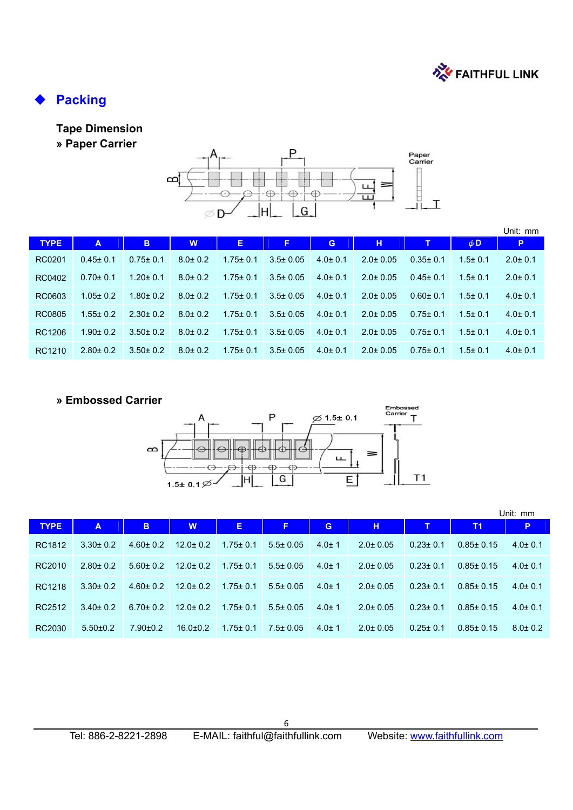

# **Packing**

## **Tape Dimension**

**» Paper Carrier** 



|             |                |                |               |                |                |               |                |                |               | Unit: mm      |
|-------------|----------------|----------------|---------------|----------------|----------------|---------------|----------------|----------------|---------------|---------------|
| <b>TYPE</b> | A              | B              | W             | Ε.             | F,             | G             | н              | т              | $\phi$ D      | P             |
| RC0201      | $0.45 \pm 0.1$ | $0.75 \pm 0.1$ | $8.0 \pm 0.2$ | $1.75 \pm 0.1$ | $3.5 \pm 0.05$ | $4.0 \pm 0.1$ | $2.0 \pm 0.05$ | $0.35 \pm 0.1$ | $1.5 \pm 0.1$ | $2.0 \pm 0.1$ |
| RC0402      | $0.70 \pm 0.1$ | $1.20 \pm 0.1$ | $8.0 \pm 0.2$ | $1.75 \pm 0.1$ | $3.5 \pm 0.05$ | $4.0 \pm 0.1$ | $2.0 \pm 0.05$ | $0.45 \pm 0.1$ | $1.5 \pm 0.1$ | $2.0 \pm 0.1$ |
| RC0603      | $1.05 \pm 0.2$ | $1.80 \pm 0.2$ | $8.0 \pm 0.2$ | $1.75 \pm 0.1$ | $3.5 \pm 0.05$ | $4.0 \pm 0.1$ | $2.0 \pm 0.05$ | $0.60 \pm 0.1$ | $1.5 \pm 0.1$ | $4.0 \pm 0.1$ |
| RC0805      | $1.55 \pm 0.2$ | $2.30 \pm 0.2$ | $8.0 \pm 0.2$ | $1.75 \pm 0.1$ | $3.5 \pm 0.05$ | $4.0 \pm 0.1$ | $2.0 \pm 0.05$ | $0.75 \pm 0.1$ | $1.5 \pm 0.1$ | $4.0 \pm 0.1$ |
| RC1206      | $1.90 \pm 0.2$ | $3.50 \pm 0.2$ | $8.0 \pm 0.2$ | $1.75 \pm 0.1$ | $3.5 \pm 0.05$ | $4.0 \pm 0.1$ | $2.0 \pm 0.05$ | $0.75 \pm 0.1$ | $1.5 \pm 0.1$ | $4.0 \pm 0.1$ |
| RC1210      | $2.80 \pm 0.2$ | $3.50 \pm 0.2$ | $8.0 \pm 0.2$ | $1.75 \pm 0.1$ | $3.5 \pm 0.05$ | $4.0 \pm 0.1$ | $2.0 \pm 0.05$ | $0.75 \pm 0.1$ | $1.5 \pm 0.1$ | $4.0 \pm 0.1$ |

#### **» Embossed Carrier**



|             |                |                |                |                |                |             |                |                |                 | Unit: mm      |
|-------------|----------------|----------------|----------------|----------------|----------------|-------------|----------------|----------------|-----------------|---------------|
| <b>TYPE</b> | A              | B              | W              | Е              | Æ              | G           | н              | T              | <b>T1</b>       | P.            |
| RC1812      | $3.30 \pm 0.2$ | $4.60 \pm 0.2$ | $12.0 \pm 0.2$ | $1.75 \pm 0.1$ | $5.5 \pm 0.05$ | $4.0 \pm 1$ | $2.0 \pm 0.05$ | $0.23 \pm 0.1$ | $0.85 \pm 0.15$ | $4.0 \pm 0.1$ |
| RC2010      | $2.80 \pm 0.2$ | $5.60 \pm 0.2$ | $12.0 \pm 0.2$ | $1.75 \pm 0.1$ | $5.5 \pm 0.05$ | $4.0 \pm 1$ | $2.0 \pm 0.05$ | $0.23 \pm 0.1$ | $0.85 \pm 0.15$ | $4.0 \pm 0.1$ |
| RC1218      | $3.30 \pm 0.2$ | $4.60 \pm 0.2$ | $12.0 \pm 0.2$ | $1.75 \pm 0.1$ | $5.5 \pm 0.05$ | $4.0 \pm 1$ | $2.0 \pm 0.05$ | $0.23 \pm 0.1$ | $0.85 \pm 0.15$ | $4.0 \pm 0.1$ |
| RC2512      | $3.40 \pm 0.2$ | $6.70 \pm 0.2$ | $12.0 + 0.2$   | $1.75 \pm 0.1$ | $5.5 \pm 0.05$ | $4.0 \pm 1$ | $2.0 \pm 0.05$ | $0.23 \pm 0.1$ | $0.85 \pm 0.15$ | $4.0 \pm 0.1$ |
| RC2030      | $5.50 \pm 0.2$ | $7.90 \pm 0.2$ | $16.0 \pm 0.2$ | $1.75 \pm 0.1$ | $7.5 \pm 0.05$ | $4.0 \pm 1$ | $2.0 \pm 0.05$ | $0.25 \pm 0.1$ | $0.85 \pm 0.15$ | $8.0 \pm 0.2$ |